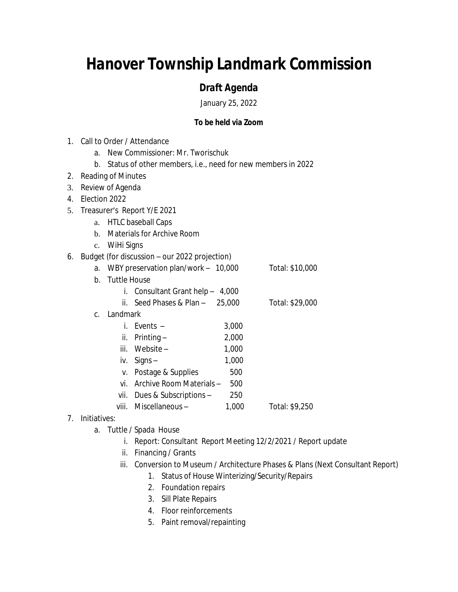# *Hanover Township Landmark Commission*

## *Draft Agenda*

January 25, 2022

### **To be held via Zoom**

- 1. Call to Order / Attendance
	- a. New Commissioner: Mr. Tworischuk
	- b. Status of other members, i.e., need for new members in 2022
- 2. Reading of Minutes
- 3. Review of Agenda
- 4. Election 2022
- 5. Treasurer's Report Y/E 2021
	- a. HTLC baseball Caps
	- b. Materials for Archive Room
	- c. WiHi Signs

#### 6. Budget (for discussion – our 2022 projection)

| a. | WBY preservation plan/work - 10,000 |                                   |       | Total: \$10,000 |  |
|----|-------------------------------------|-----------------------------------|-------|-----------------|--|
| b. | <b>Tuttle House</b>                 |                                   |       |                 |  |
|    |                                     | i. Consultant Grant help $-4,000$ |       |                 |  |
|    |                                     | ii. Seed Phases & Plan $-$ 25,000 |       | Total: \$29,000 |  |
| C. |                                     | Landmark                          |       |                 |  |
|    |                                     | i. Events –                       | 3,000 |                 |  |
|    |                                     | ii. Printing $-$                  | 2,000 |                 |  |
|    |                                     | iii. Website –                    | 1,000 |                 |  |
|    | İV.                                 | $Signs -$                         | 1,000 |                 |  |
|    |                                     | v. Postage & Supplies             | 500   |                 |  |
|    | VÍ                                  | Archive Room Materials –          | 500   |                 |  |
|    |                                     | vii. Dues & Subscriptions $-$     | 250   |                 |  |
|    | viii. -                             | Miscellaneous –                   | 1,000 | Total: \$9,250  |  |
|    |                                     |                                   |       |                 |  |

### 7. Initiatives:

- a. Tuttle / Spada House
	- i. Report: Consultant Report Meeting 12/2/2021 / Report update
	- ii. Financing / Grants
	- iii. Conversion to Museum / Architecture Phases & Plans (Next Consultant Report)
		- 1. Status of House Winterizing/Security/Repairs
		- 2. Foundation repairs
		- 3. Sill Plate Repairs
		- 4. Floor reinforcements
		- 5. Paint removal/repainting